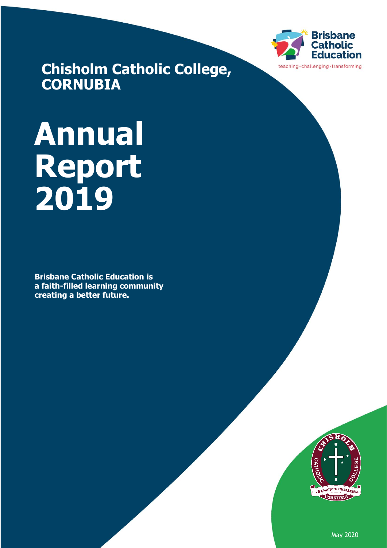

**Chisholm Catholic College, CORNUBIA**

# **Annual Report 2019**

**Brisbane Catholic Education is a faith-filled learning community creating a better future.** 



May 2020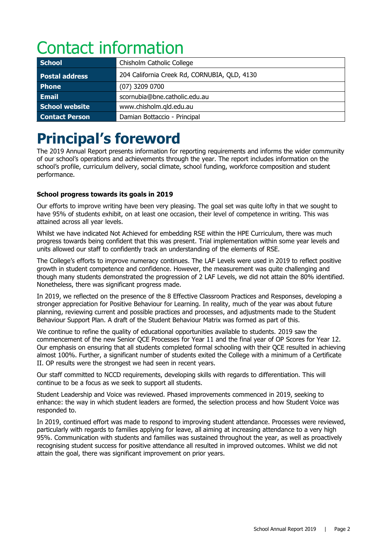# Contact information

| <b>School</b>         | Chisholm Catholic College                    |  |
|-----------------------|----------------------------------------------|--|
| <b>Postal address</b> | 204 California Creek Rd, CORNUBIA, QLD, 4130 |  |
| <b>Phone</b>          | (07) 3209 0700                               |  |
| Email                 | scornubia@bne.catholic.edu.au                |  |
| School website        | www.chisholm.qld.edu.au                      |  |
| <b>Contact Person</b> | Damian Bottaccio - Principal                 |  |

# **Principal's foreword**

The 2019 Annual Report presents information for reporting requirements and informs the wider community of our school's operations and achievements through the year. The report includes information on the school's profile, curriculum delivery, social climate, school funding, workforce composition and student performance.

### **School progress towards its goals in 2019**

Our efforts to improve writing have been very pleasing. The goal set was quite lofty in that we sought to have 95% of students exhibit, on at least one occasion, their level of competence in writing. This was attained across all year levels.

Whilst we have indicated Not Achieved for embedding RSE within the HPE Curriculum, there was much progress towards being confident that this was present. Trial implementation within some year levels and units allowed our staff to confidently track an understanding of the elements of RSE.

The College's efforts to improve numeracy continues. The LAF Levels were used in 2019 to reflect positive growth in student competence and confidence. However, the measurement was quite challenging and though many students demonstrated the progression of 2 LAF Levels, we did not attain the 80% identified. Nonetheless, there was significant progress made.

In 2019, we reflected on the presence of the 8 Effective Classroom Practices and Responses, developing a stronger appreciation for Positive Behaviour for Learning. In reality, much of the year was about future planning, reviewing current and possible practices and processes, and adjustments made to the Student Behaviour Support Plan. A draft of the Student Behaviour Matrix was formed as part of this.

We continue to refine the quality of educational opportunities available to students. 2019 saw the commencement of the new Senior QCE Processes for Year 11 and the final year of OP Scores for Year 12. Our emphasis on ensuring that all students completed formal schooling with their QCE resulted in achieving almost 100%. Further, a significant number of students exited the College with a minimum of a Certificate II. OP results were the strongest we had seen in recent years.

Our staff committed to NCCD requirements, developing skills with regards to differentiation. This will continue to be a focus as we seek to support all students.

Student Leadership and Voice was reviewed. Phased improvements commenced in 2019, seeking to enhance: the way in which student leaders are formed, the selection process and how Student Voice was responded to.

In 2019, continued effort was made to respond to improving student attendance. Processes were reviewed, particularly with regards to families applying for leave, all aiming at increasing attendance to a very high 95%. Communication with students and families was sustained throughout the year, as well as proactively recognising student success for positive attendance all resulted in improved outcomes. Whilst we did not attain the goal, there was significant improvement on prior years.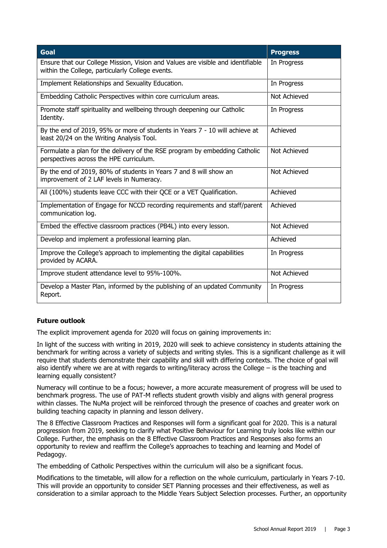| <b>Goal</b>                                                                                                                         | <b>Progress</b> |
|-------------------------------------------------------------------------------------------------------------------------------------|-----------------|
| Ensure that our College Mission, Vision and Values are visible and identifiable<br>within the College, particularly College events. | In Progress     |
| Implement Relationships and Sexuality Education.                                                                                    | In Progress     |
| Embedding Catholic Perspectives within core curriculum areas.                                                                       | Not Achieved    |
| Promote staff spirituality and wellbeing through deepening our Catholic<br>Identity.                                                | In Progress     |
| By the end of 2019, 95% or more of students in Years 7 - 10 will achieve at<br>least 20/24 on the Writing Analysis Tool.            | Achieved        |
| Formulate a plan for the delivery of the RSE program by embedding Catholic<br>perspectives across the HPE curriculum.               | Not Achieved    |
| By the end of 2019, 80% of students in Years 7 and 8 will show an<br>improvement of 2 LAF levels in Numeracy.                       | Not Achieved    |
| All (100%) students leave CCC with their QCE or a VET Qualification.                                                                | Achieved        |
| Implementation of Engage for NCCD recording requirements and staff/parent<br>communication log.                                     | Achieved        |
| Embed the effective classroom practices (PB4L) into every lesson.                                                                   | Not Achieved    |
| Develop and implement a professional learning plan.                                                                                 | Achieved        |
| Improve the College's approach to implementing the digital capabilities<br>provided by ACARA.                                       | In Progress     |
| Improve student attendance level to 95%-100%.                                                                                       | Not Achieved    |
| Develop a Master Plan, informed by the publishing of an updated Community<br>Report.                                                | In Progress     |

### **Future outlook**

The explicit improvement agenda for 2020 will focus on gaining improvements in:

In light of the success with writing in 2019, 2020 will seek to achieve consistency in students attaining the benchmark for writing across a variety of subjects and writing styles. This is a significant challenge as it will require that students demonstrate their capability and skill with differing contexts. The choice of goal will also identify where we are at with regards to writing/literacy across the College – is the teaching and learning equally consistent?

Numeracy will continue to be a focus; however, a more accurate measurement of progress will be used to benchmark progress. The use of PAT-M reflects student growth visibly and aligns with general progress within classes. The NuMa project will be reinforced through the presence of coaches and greater work on building teaching capacity in planning and lesson delivery.

The 8 Effective Classroom Practices and Responses will form a significant goal for 2020. This is a natural progression from 2019, seeking to clarify what Positive Behaviour for Learning truly looks like within our College. Further, the emphasis on the 8 Effective Classroom Practices and Responses also forms an opportunity to review and reaffirm the College's approaches to teaching and learning and Model of Pedagogy.

The embedding of Catholic Perspectives within the curriculum will also be a significant focus.

Modifications to the timetable, will allow for a reflection on the whole curriculum, particularly in Years 7-10. This will provide an opportunity to consider SET Planning processes and their effectiveness, as well as consideration to a similar approach to the Middle Years Subject Selection processes. Further, an opportunity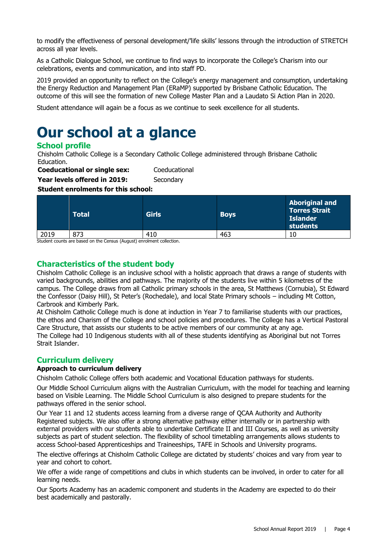to modify the effectiveness of personal development/'life skills' lessons through the introduction of STRETCH across all year levels.

As a Catholic Dialogue School, we continue to find ways to incorporate the College's Charism into our celebrations, events and communication, and into staff PD.

2019 provided an opportunity to reflect on the College's energy management and consumption, undertaking the Energy Reduction and Management Plan (ERaMP) supported by Brisbane Catholic Education. The outcome of this will see the formation of new College Master Plan and a Laudato Si Action Plan in 2020.

Student attendance will again be a focus as we continue to seek excellence for all students.

# **Our school at a glance**

# **School profile**

Chisholm Catholic College is a Secondary Catholic College administered through Brisbane Catholic Education.

**Coeducational or single sex:** Coeducational **Year levels offered in 2019:** Secondary

**Student enrolments for this school:**

|      | <b>Total</b> | <b>Girls</b> | <b>Boys</b> | <b>Aboriginal and</b><br><b>Torres Strait</b><br><b>Islander</b><br>students |
|------|--------------|--------------|-------------|------------------------------------------------------------------------------|
| 2019 | 873          | 410          | 463         | 10                                                                           |

Student counts are based on the Census (August) enrolment collection.

# **Characteristics of the student body**

Chisholm Catholic College is an inclusive school with a holistic approach that draws a range of students with varied backgrounds, abilities and pathways. The majority of the students live within 5 kilometres of the campus. The College draws from all Catholic primary schools in the area, St Matthews (Cornubia), St Edward the Confessor (Daisy Hill), St Peter's (Rochedale), and local State Primary schools – including Mt Cotton, Carbrook and Kimberly Park.

At Chisholm Catholic College much is done at induction in Year 7 to familiarise students with our practices, the ethos and Charism of the College and school policies and procedures. The College has a Vertical Pastoral Care Structure, that assists our students to be active members of our community at any age. The College had 10 Indigenous students with all of these students identifying as Aboriginal but not Torres Strait Islander.

# **Curriculum delivery**

### **Approach to curriculum delivery**

Chisholm Catholic College offers both academic and Vocational Education pathways for students.

Our Middle School Curriculum aligns with the Australian Curriculum, with the model for teaching and learning based on Visible Learning. The Middle School Curriculum is also designed to prepare students for the pathways offered in the senior school.

Our Year 11 and 12 students access learning from a diverse range of QCAA Authority and Authority Registered subjects. We also offer a strong alternative pathway either internally or in partnership with external providers with our students able to undertake Certificate II and III Courses, as well as university subjects as part of student selection. The flexibility of school timetabling arrangements allows students to access School-based Apprenticeships and Traineeships, TAFE in Schools and University programs.

The elective offerings at Chisholm Catholic College are dictated by students' choices and vary from year to year and cohort to cohort.

We offer a wide range of competitions and clubs in which students can be involved, in order to cater for all learning needs.

Our Sports Academy has an academic component and students in the Academy are expected to do their best academically and pastorally.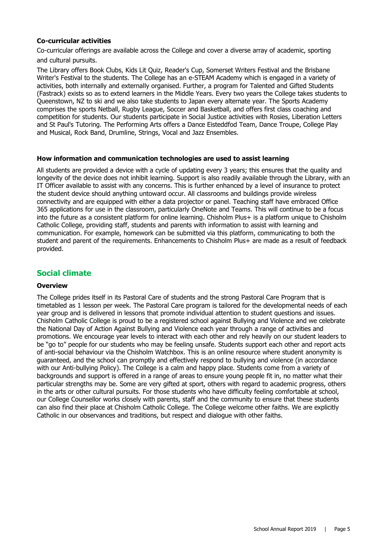### **Co-curricular activities**

Co-curricular offerings are available across the College and cover a diverse array of academic, sporting and cultural pursuits.

The Library offers Book Clubs, Kids Lit Quiz, Reader's Cup, Somerset Writers Festival and the Brisbane Writer's Festival to the students. The College has an e-STEAM Academy which is engaged in a variety of activities, both internally and externally organised. Further, a program for Talented and Gifted Students (Fastrack) exists so as to extend learners in the Middle Years. Every two years the College takes students to Queenstown, NZ to ski and we also take students to Japan every alternate year. The Sports Academy comprises the sports Netball, Rugby League, Soccer and Basketball, and offers first class coaching and competition for students. Our students participate in Social Justice activities with Rosies, Liberation Letters and St Paul's Tutoring. The Performing Arts offers a Dance Eisteddfod Team, Dance Troupe, College Play and Musical, Rock Band, Drumline, Strings, Vocal and Jazz Ensembles.

### **How information and communication technologies are used to assist learning**

All students are provided a device with a cycle of updating every 3 years; this ensures that the quality and longevity of the device does not inhibit learning. Support is also readily available through the Library, with an IT Officer available to assist with any concerns. This is further enhanced by a level of insurance to protect the student device should anything untoward occur. All classrooms and buildings provide wireless connectivity and are equipped with either a data projector or panel. Teaching staff have embraced Office 365 applications for use in the classroom, particularly OneNote and Teams. This will continue to be a focus into the future as a consistent platform for online learning. Chisholm Plus+ is a platform unique to Chisholm Catholic College, providing staff, students and parents with information to assist with learning and communication. For example, homework can be submitted via this platform, communicating to both the student and parent of the requirements. Enhancements to Chisholm Plus+ are made as a result of feedback provided.

### **Social climate**

### **Overview**

The College prides itself in its Pastoral Care of students and the strong Pastoral Care Program that is timetabled as 1 lesson per week. The Pastoral Care program is tailored for the developmental needs of each year group and is delivered in lessons that promote individual attention to student questions and issues. Chisholm Catholic College is proud to be a registered school against Bullying and Violence and we celebrate the National Day of Action Against Bullying and Violence each year through a range of activities and promotions. We encourage year levels to interact with each other and rely heavily on our student leaders to be "go to" people for our students who may be feeling unsafe. Students support each other and report acts of anti-social behaviour via the Chisholm Watchbox. This is an online resource where student anonymity is guaranteed, and the school can promptly and effectively respond to bullying and violence (in accordance with our Anti-bullying Policy). The College is a calm and happy place. Students come from a variety of backgrounds and support is offered in a range of areas to ensure young people fit in, no matter what their particular strengths may be. Some are very gifted at sport, others with regard to academic progress, others in the arts or other cultural pursuits. For those students who have difficulty feeling comfortable at school, our College Counsellor works closely with parents, staff and the community to ensure that these students can also find their place at Chisholm Catholic College. The College welcome other faiths. We are explicitly Catholic in our observances and traditions, but respect and dialogue with other faiths.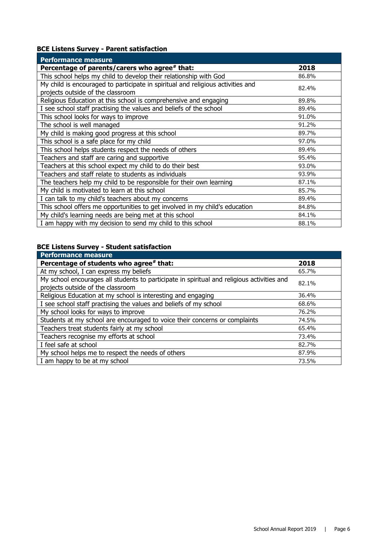# **BCE Listens Survey - Parent satisfaction**

| <b>Performance measure</b>                                                                                           |       |
|----------------------------------------------------------------------------------------------------------------------|-------|
| Percentage of parents/carers who agree# that:                                                                        | 2018  |
| This school helps my child to develop their relationship with God                                                    | 86.8% |
| My child is encouraged to participate in spiritual and religious activities and<br>projects outside of the classroom | 82.4% |
| Religious Education at this school is comprehensive and engaging                                                     | 89.8% |
| I see school staff practising the values and beliefs of the school                                                   | 89.4% |
| This school looks for ways to improve                                                                                | 91.0% |
| The school is well managed                                                                                           | 91.2% |
| My child is making good progress at this school                                                                      | 89.7% |
| This school is a safe place for my child                                                                             | 97.0% |
| This school helps students respect the needs of others                                                               | 89.4% |
| Teachers and staff are caring and supportive                                                                         | 95.4% |
| Teachers at this school expect my child to do their best                                                             | 93.0% |
| Teachers and staff relate to students as individuals                                                                 | 93.9% |
| The teachers help my child to be responsible for their own learning                                                  | 87.1% |
| My child is motivated to learn at this school                                                                        | 85.7% |
| I can talk to my child's teachers about my concerns                                                                  | 89.4% |
| This school offers me opportunities to get involved in my child's education                                          | 84.8% |
| My child's learning needs are being met at this school                                                               | 84.1% |
| I am happy with my decision to send my child to this school                                                          | 88.1% |

# **BCE Listens Survey - Student satisfaction**

| <b>Performance measure</b>                                                                                                      |       |
|---------------------------------------------------------------------------------------------------------------------------------|-------|
| Percentage of students who agree* that:                                                                                         | 2018  |
| At my school, I can express my beliefs                                                                                          | 65.7% |
| My school encourages all students to participate in spiritual and religious activities and<br>projects outside of the classroom | 82.1% |
| Religious Education at my school is interesting and engaging                                                                    | 36.4% |
| I see school staff practising the values and beliefs of my school                                                               | 68.6% |
| My school looks for ways to improve                                                                                             | 76.2% |
| Students at my school are encouraged to voice their concerns or complaints                                                      | 74.5% |
| Teachers treat students fairly at my school                                                                                     | 65.4% |
| Teachers recognise my efforts at school                                                                                         | 73.4% |
| I feel safe at school                                                                                                           | 82.7% |
| My school helps me to respect the needs of others                                                                               | 87.9% |
| I am happy to be at my school                                                                                                   | 73.5% |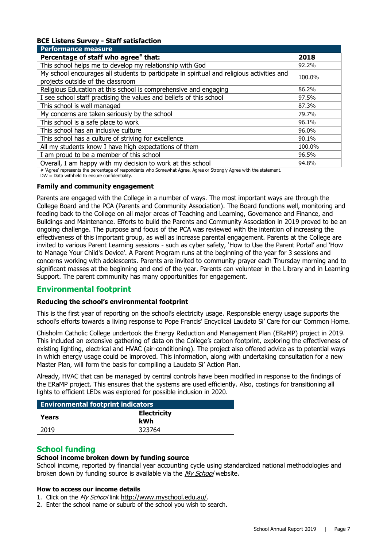### **BCE Listens Survey - Staff satisfaction**

| <b>Performance measure</b>                                                                                                      |        |
|---------------------------------------------------------------------------------------------------------------------------------|--------|
| Percentage of staff who agree# that:                                                                                            | 2018   |
| This school helps me to develop my relationship with God                                                                        | 92.2%  |
| My school encourages all students to participate in spiritual and religious activities and<br>projects outside of the classroom | 100.0% |
| Religious Education at this school is comprehensive and engaging                                                                | 86.2%  |
| I see school staff practising the values and beliefs of this school                                                             | 97.5%  |
| This school is well managed                                                                                                     | 87.3%  |
| My concerns are taken seriously by the school                                                                                   | 79.7%  |
| This school is a safe place to work                                                                                             | 96.1%  |
| This school has an inclusive culture                                                                                            | 96.0%  |
| This school has a culture of striving for excellence                                                                            | 90.1%  |
| All my students know I have high expectations of them                                                                           | 100.0% |
| I am proud to be a member of this school                                                                                        | 96.5%  |
| Overall, I am happy with my decision to work at this school                                                                     | 94.8%  |

# 'Agree' represents the percentage of respondents who Somewhat Agree, Agree or Strongly Agree with the statement.

DW = Data withheld to ensure confidentiality.

#### **Family and community engagement**

Parents are engaged with the College in a number of ways. The most important ways are through the College Board and the PCA (Parents and Community Association). The Board functions well, monitoring and feeding back to the College on all major areas of Teaching and Learning, Governance and Finance, and Buildings and Maintenance. Efforts to build the Parents and Community Association in 2019 proved to be an ongoing challenge. The purpose and focus of the PCA was reviewed with the intention of increasing the effectiveness of this important group, as well as increase parental engagement. Parents at the College are invited to various Parent Learning sessions - such as cyber safety, 'How to Use the Parent Portal' and 'How to Manage Your Child's Device'. A Parent Program runs at the beginning of the year for 3 sessions and concerns working with adolescents. Parents are invited to community prayer each Thursday morning and to significant masses at the beginning and end of the year. Parents can volunteer in the Library and in Learning Support. The parent community has many opportunities for engagement.

### **Environmental footprint**

### **Reducing the school's environmental footprint**

This is the first year of reporting on the school's electricity usage. Responsible energy usage supports the school's efforts towards a living response to Pope Francis' Encyclical Laudato Si' Care for our Common Home.

Chisholm Catholic College undertook the Energy Reduction and Management Plan (ERaMP) project in 2019. This included an extensive gathering of data on the College's carbon footprint, exploring the effectiveness of existing lighting, electrical and HVAC (air-conditioning). The project also offered advice as to potential ways in which energy usage could be improved. This information, along with undertaking consultation for a new Master Plan, will form the basis for compiling a Laudato Si' Action Plan.

Already, HVAC that can be managed by central controls have been modified in response to the findings of the ERaMP project. This ensures that the systems are used efficiently. Also, costings for transitioning all lights to efficient LEDs was explored for possible inclusion in 2020.

| <b>Environmental footprint indicators</b> |                           |  |  |
|-------------------------------------------|---------------------------|--|--|
| l Years                                   | <b>Electricity</b><br>kWh |  |  |
| 2019                                      | 323764                    |  |  |

# **School funding**

### **School income broken down by funding source**

School income, reported by financial year accounting cycle using standardized national methodologies and broken down by funding source is available via the [My School](http://www.myschool.edu.au/) website.

#### **How to access our income details**

- 1. Click on the My School link <http://www.myschool.edu.au/>.
- 2. Enter the school name or suburb of the school you wish to search.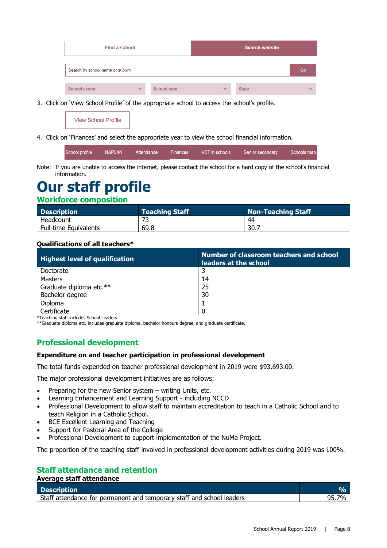| Find a school                   |              |                    |              | <b>Search website</b> |              |
|---------------------------------|--------------|--------------------|--------------|-----------------------|--------------|
| Search by school name or suburb |              |                    |              |                       | Go           |
| <b>School sector</b>            | $\checkmark$ | <b>School type</b> | $\checkmark$ | <b>State</b>          | $\checkmark$ |

3. Click on 'View School Profile' of the appropriate school to access the school's profile.

**View School Profile** 

4. Click on 'Finances' and select the appropriate year to view the school financial information.

| School profile NAPLAN |  |  | ' Attendance     Finances       VET in schools         Senior secondary       Schools map |  |
|-----------------------|--|--|-------------------------------------------------------------------------------------------|--|
|                       |  |  |                                                                                           |  |

Note: If you are unable to access the internet, please contact the school for a hard copy of the school's financial information.

# **Our staff profile**

### **Workforce composition**

| <b>Description</b>           | <b>Teaching Staff</b> | Non-Teaching Staff |
|------------------------------|-----------------------|--------------------|
| Headcount                    |                       | 44                 |
| <b>Full-time Equivalents</b> | 69.8                  | 30.7               |

### **Qualifications of all teachers\***

| <b>Highest level of qualification</b> | Number of classroom teachers and school<br>leaders at the school |
|---------------------------------------|------------------------------------------------------------------|
| Doctorate                             |                                                                  |
| <b>Masters</b>                        | 14                                                               |
| Graduate diploma etc.**               | 25                                                               |
| Bachelor degree                       | 30                                                               |
| Diploma                               |                                                                  |
| Certificate                           |                                                                  |

\*Teaching staff includes School Leaders

\*\*Graduate diploma etc. includes graduate diploma, bachelor honours degree, and graduate certificate.

# **Professional development**

### **Expenditure on and teacher participation in professional development**

The total funds expended on teacher professional development in 2019 were \$93,693.00.

The major professional development initiatives are as follows:

- Preparing for the new Senior system writing Units, etc.
- Learning Enhancement and Learning Support including NCCD
- Professional Development to allow staff to maintain accreditation to teach in a Catholic School and to teach Religion in a Catholic School.
- BCE Excellent Learning and Teaching
- Support for Pastoral Area of the College
- Professional Development to support implementation of the NuMa Project.

The proportion of the teaching staff involved in professional development activities during 2019 was 100%.

# **Staff attendance and retention**

**Average staff attendance**

| Description                                                           |  |
|-----------------------------------------------------------------------|--|
| Staff attendance for permanent and temporary staff and school leaders |  |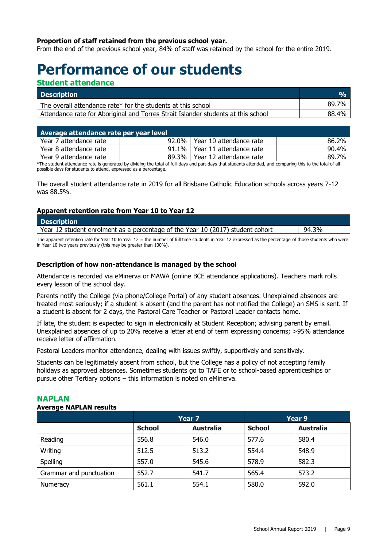### **Proportion of staff retained from the previous school year.**

From the end of the previous school year, 84% of staff was retained by the school for the entire 2019.

# **Performance of our students**

### **Student attendance**

| <b>Description</b>                                                                | $O_{\Omega}$ |
|-----------------------------------------------------------------------------------|--------------|
| The overall attendance rate* for the students at this school                      | 89.7%        |
| Attendance rate for Aboriginal and Torres Strait Islander students at this school | 88.4%        |

| Average attendance rate per year level |          |                           |       |
|----------------------------------------|----------|---------------------------|-------|
| Year 7 attendance rate                 | $92.0\%$ | l Year 10 attendance rate | 86.2% |
| Year 8 attendance rate                 | $91.1\%$ | l Year 11 attendance rate | 90.4% |
| Year 9 attendance rate                 | $89.3\%$ | l Year 12 attendance rate | 89.7% |

\*The student attendance rate is generated by dividing the total of full-days and part-days that students attended, and comparing this to the total of all possible days for students to attend, expressed as a percentage.

The overall student attendance rate in 2019 for all Brisbane Catholic Education schools across years 7-12 was 88.5%.

### **Apparent retention rate from Year 10 to Year 12**

| <b>Description</b>                                                             |       |
|--------------------------------------------------------------------------------|-------|
| Year 12 student enrolment as a percentage of the Year 10 (2017) student cohort | 94.3% |
|                                                                                |       |

The apparent retention rate for Year 10 to Year 12 = the number of full time students in Year 12 expressed as the percentage of those students who were in Year 10 two years previously (this may be greater than 100%).

### **Description of how non-attendance is managed by the school**

Attendance is recorded via eMinerva or MAWA (online BCE attendance applications). Teachers mark rolls every lesson of the school day.

Parents notify the College (via phone/College Portal) of any student absences. Unexplained absences are treated most seriously; if a student is absent (and the parent has not notified the College) an SMS is sent. If a student is absent for 2 days, the Pastoral Care Teacher or Pastoral Leader contacts home.

If late, the student is expected to sign in electronically at Student Reception; advising parent by email. Unexplained absences of up to 20% receive a letter at end of term expressing concerns; >95% attendance receive letter of affirmation.

Pastoral Leaders monitor attendance, dealing with issues swiftly, supportively and sensitively.

Students can be legitimately absent from school, but the College has a policy of not accepting family holidays as approved absences. Sometimes students go to TAFE or to school-based apprenticeships or pursue other Tertiary options – this information is noted on eMinerva.

### **NAPLAN**

#### **Average NAPLAN results**

|                         | Year 7        |                  | Year 9        |                  |
|-------------------------|---------------|------------------|---------------|------------------|
|                         | <b>School</b> | <b>Australia</b> | <b>School</b> | <b>Australia</b> |
| Reading                 | 556.8         | 546.0            | 577.6         | 580.4            |
| Writing                 | 512.5         | 513.2            | 554.4         | 548.9            |
| Spelling                | 557.0         | 545.6            | 578.9         | 582.3            |
| Grammar and punctuation | 552.7         | 541.7            | 565.4         | 573.2            |
| Numeracy                | 561.1         | 554.1            | 580.0         | 592.0            |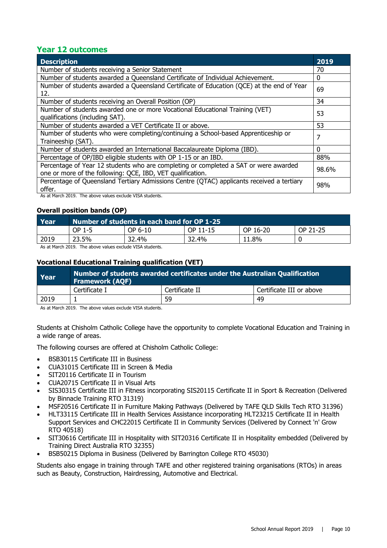# **Year 12 outcomes**

| <b>Description</b>                                                                                                                                 | 2019     |
|----------------------------------------------------------------------------------------------------------------------------------------------------|----------|
| Number of students receiving a Senior Statement                                                                                                    | 70       |
| Number of students awarded a Queensland Certificate of Individual Achievement.                                                                     | 0        |
| Number of students awarded a Queensland Certificate of Education (QCE) at the end of Year<br>12.                                                   | 69       |
| Number of students receiving an Overall Position (OP)                                                                                              | 34       |
| Number of students awarded one or more Vocational Educational Training (VET)<br>qualifications (including SAT).                                    | 53       |
| Number of students awarded a VET Certificate II or above.                                                                                          | 53       |
| Number of students who were completing/continuing a School-based Apprenticeship or<br>Traineeship (SAT).                                           | 7        |
| Number of students awarded an International Baccalaureate Diploma (IBD).                                                                           | $\Omega$ |
| Percentage of OP/IBD eligible students with OP 1-15 or an IBD.                                                                                     | 88%      |
| Percentage of Year 12 students who are completing or completed a SAT or were awarded<br>one or more of the following: QCE, IBD, VET qualification. | 98.6%    |
| Percentage of Queensland Tertiary Admissions Centre (QTAC) applicants received a tertiary<br>offer.                                                | 98%      |

As at March 2019. The above values exclude VISA students.

### **Overall position bands (OP)**

| Year | Number of students in each band for OP 1-25 |         |          |          |          |
|------|---------------------------------------------|---------|----------|----------|----------|
|      | OP 1-5                                      | OP 6-10 | OP 11-15 | OP 16-20 | OP 21-25 |
| 2019 | 23.5%                                       | 32.4%   | 32.4%    | 11.8%    |          |

As at March 2019. The above values exclude VISA students.

### **Vocational Educational Training qualification (VET)**

| Year | Number of students awarded certificates under the Australian Qualification<br><b>Framework (AQF)</b> |                |                          |  |
|------|------------------------------------------------------------------------------------------------------|----------------|--------------------------|--|
|      | Certificate I                                                                                        | Certificate II | Certificate III or above |  |
| 2019 |                                                                                                      | 59             | 49                       |  |

As at March 2019. The above values exclude VISA students.

Students at Chisholm Catholic College have the opportunity to complete Vocational Education and Training in a wide range of areas.

The following courses are offered at Chisholm Catholic College:

- BSB30115 Certificate III in Business
- CUA31015 Certificate III in Screen & Media
- SIT20116 Certificate II in Tourism
- CUA20715 Certificate II in Visual Arts
- SIS30315 Certificate III in Fitness incorporating SIS20115 Certificate II in Sport & Recreation (Delivered by Binnacle Training RTO 31319)
- MSF20516 Certificate II in Furniture Making Pathways (Delivered by TAFE QLD Skills Tech RTO 31396)
- HLT33115 Certificate III in Health Services Assistance incorporating HLT23215 Certificate II in Health Support Services and CHC22015 Certificate II in Community Services (Delivered by Connect 'n' Grow RTO 40518)
- SIT30616 Certificate III in Hospitality with SIT20316 Certificate II in Hospitality embedded (Delivered by Training Direct Australia RTO 32355)
- BSB50215 Diploma in Business (Delivered by Barrington College RTO 45030)

Students also engage in training through TAFE and other registered training organisations (RTOs) in areas such as Beauty, Construction, Hairdressing, Automotive and Electrical.